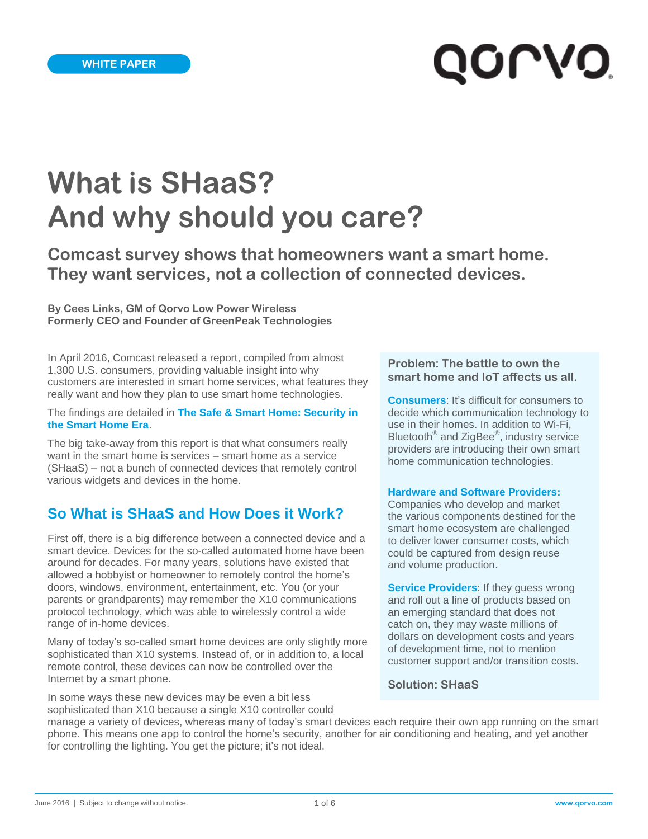# **QOLVO**

# **What is SHaaS? And why should you care?**

**Comcast survey shows that homeowners want a smart home. They want services, not a collection of connected devices.**

**By Cees Links, GM of Qorvo Low Power Wireless Formerly CEO and Founder of GreenPeak Technologies**

In April 2016, Comcast released a report, compiled from almost 1,300 U.S. consumers, providing valuable insight into why customers are interested in smart home services, what features they really want and how they plan to use smart home technologies.

The findings are detailed in **[The Safe & Smart Home: Security in](http://corporate.comcast.com/images/August_Xfinity-Safe-and-Secure-Study-Report.pdf)  [the Smart Home Era](http://corporate.comcast.com/images/August_Xfinity-Safe-and-Secure-Study-Report.pdf)**.

The big take-away from this report is that what consumers really want in the smart home is services – smart home as a service (SHaaS) – not a bunch of connected devices that remotely control various widgets and devices in the home.

#### **So What is SHaaS and How Does it Work?**

First off, there is a big difference between a connected device and a smart device. Devices for the so-called automated home have been around for decades. For many years, solutions have existed that allowed a hobbyist or homeowner to remotely control the home's doors, windows, environment, entertainment, etc. You (or your parents or grandparents) may remember the X10 communications protocol technology, which was able to wirelessly control a wide range of in-home devices.

Many of today's so-called smart home devices are only slightly more sophisticated than X10 systems. Instead of, or in addition to, a local remote control, these devices can now be controlled over the Internet by a smart phone.

In some ways these new devices may be even a bit less sophisticated than X10 because a single X10 controller could

#### **Problem: The battle to own the smart home and IoT affects us all.**

**Consumers:** It's difficult for consumers to decide which communication technology to use in their homes. In addition to Wi-Fi, Bluetooth<sup>®</sup> and ZigBee<sup>®</sup>, industry service providers are introducing their own smart home communication technologies.

#### **Hardware and Software Providers:**

Companies who develop and market the various components destined for the smart home ecosystem are challenged to deliver lower consumer costs, which could be captured from design reuse and volume production.

**Service Providers:** If they guess wrong and roll out a line of products based on an emerging standard that does not catch on, they may waste millions of dollars on development costs and years of development time, not to mention customer support and/or transition costs.

**Solution: SHaaS** 

manage a variety of devices, whereas many of today's smart devices each require their own app running on the smart phone. This means one app to control the home's security, another for air conditioning and heating, and yet another for controlling the lighting. You get the picture; it's not ideal.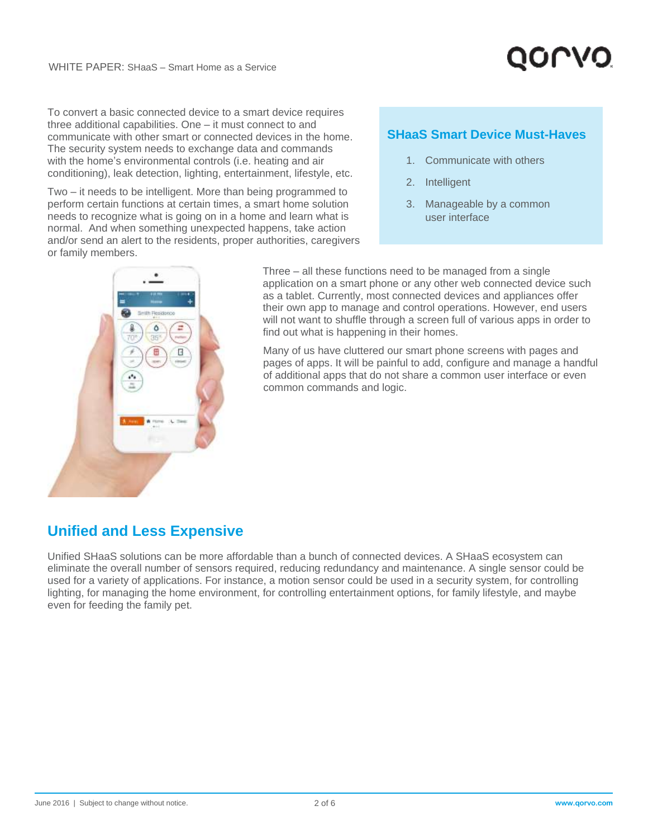

To convert a basic connected device to a smart device requires three additional capabilities. One – it must connect to and communicate with other smart or connected devices in the home. The security system needs to exchange data and commands with the home's environmental controls (i.e. heating and air conditioning), leak detection, lighting, entertainment, lifestyle, etc.

Two – it needs to be intelligent. More than being programmed to perform certain functions at certain times, a smart home solution needs to recognize what is going on in a home and learn what is normal. And when something unexpected happens, take action and/or send an alert to the residents, proper authorities, caregivers or family members.

#### **SHaaS Smart Device Must-Haves**

- 1. Communicate with others
- 2. Intelligent
- 3. Manageable by a common user interface



Three – all these functions need to be managed from a single application on a smart phone or any other web connected device such as a tablet. Currently, most connected devices and appliances offer their own app to manage and control operations. However, end users will not want to shuffle through a screen full of various apps in order to find out what is happening in their homes.

Many of us have cluttered our smart phone screens with pages and pages of apps. It will be painful to add, configure and manage a handful of additional apps that do not share a common user interface or even common commands and logic.

#### **Unified and Less Expensive**

Unified SHaaS solutions can be more affordable than a bunch of connected devices. A SHaaS ecosystem can eliminate the overall number of sensors required, reducing redundancy and maintenance. A single sensor could be used for a variety of applications. For instance, a motion sensor could be used in a security system, for controlling lighting, for managing the home environment, for controlling entertainment options, for family lifestyle, and maybe even for feeding the family pet.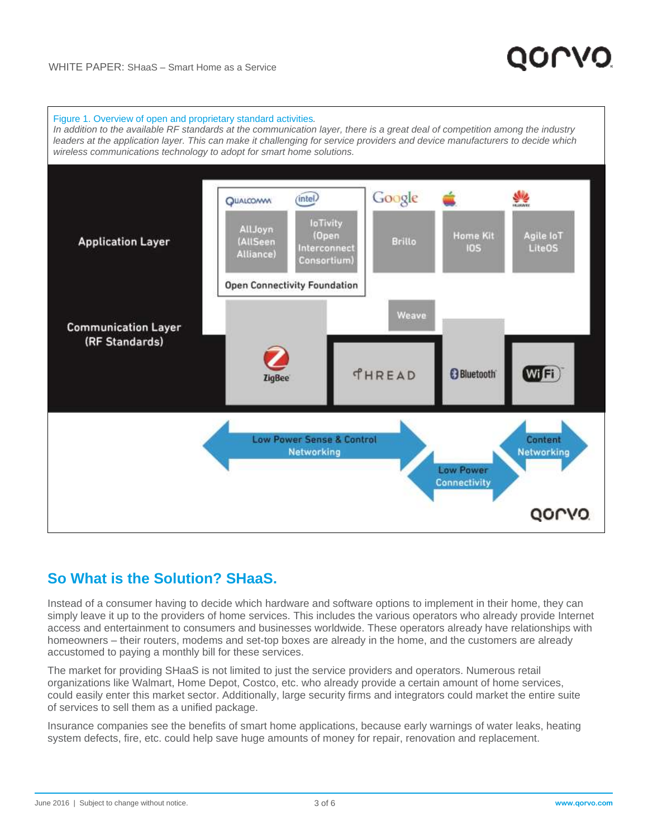

#### **So What is the Solution? SHaaS.**

Instead of a consumer having to decide which hardware and software options to implement in their home, they can simply leave it up to the providers of home services. This includes the various operators who already provide Internet access and entertainment to consumers and businesses worldwide. These operators already have relationships with homeowners – their routers, modems and set-top boxes are already in the home, and the customers are already accustomed to paying a monthly bill for these services.

The market for providing SHaaS is not limited to just the service providers and operators. Numerous retail organizations like Walmart, Home Depot, Costco, etc. who already provide a certain amount of home services, could easily enter this market sector. Additionally, large security firms and integrators could market the entire suite of services to sell them as a unified package.

Insurance companies see the benefits of smart home applications, because early warnings of water leaks, heating system defects, fire, etc. could help save huge amounts of money for repair, renovation and replacement.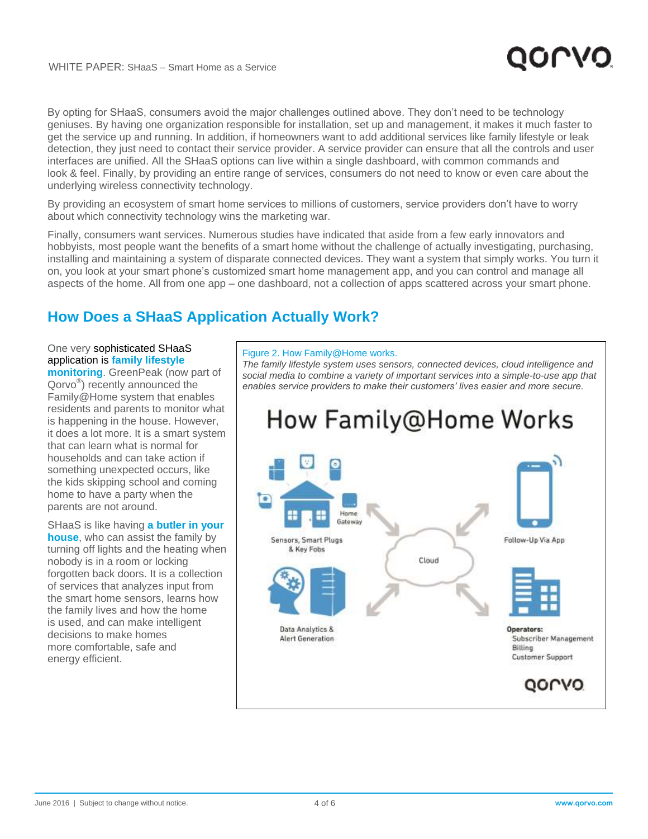By opting for SHaaS, consumers avoid the major challenges outlined above. They don't need to be technology geniuses. By having one organization responsible for installation, set up and management, it makes it much faster to get the service up and running. In addition, if homeowners want to add additional services like family lifestyle or leak detection, they just need to contact their service provider. A service provider can ensure that all the controls and user interfaces are unified. All the SHaaS options can live within a single dashboard, with common commands and look & feel. Finally, by providing an entire range of services, consumers do not need to know or even care about the underlying wireless connectivity technology.

By providing an ecosystem of smart home services to millions of customers, service providers don't have to worry about which connectivity technology wins the marketing war.

Finally, consumers want services. Numerous studies have indicated that aside from a few early innovators and hobbyists, most people want the benefits of a smart home without the challenge of actually investigating, purchasing, installing and maintaining a system of disparate connected devices. They want a system that simply works. You turn it on, you look at your smart phone's customized smart home management app, and you can control and manage all aspects of the home. All from one app – one dashboard, not a collection of apps scattered across your smart phone.

#### **How Does a SHaaS Application Actually Work?**

#### One very sophisticated SHaaS application is **family lifestyle**

**monitoring**. GreenPeak (now part of Qorvo® ) recently announced the Family@Home system that enables residents and parents to monitor what is happening in the house. However, it does a lot more. It is a smart system that can learn what is normal for households and can take action if something unexpected occurs, like the kids skipping school and coming home to have a party when the parents are not around.

SHaaS is like having **a butler in your house**, who can assist the family by turning off lights and the heating when nobody is in a room or locking forgotten back doors. It is a collection of services that analyzes input from the smart home sensors, learns how the family lives and how the home is used, and can make intelligent decisions to make homes more comfortable, safe and energy efficient.

#### Figure 2. How Family@Home works.

*The family lifestyle system uses sensors, connected devices, cloud intelligence and social media to combine a variety of important services into a simple-to-use app that enables service providers to make their customers' lives easier and more secure.* 

## How Family@Home Works

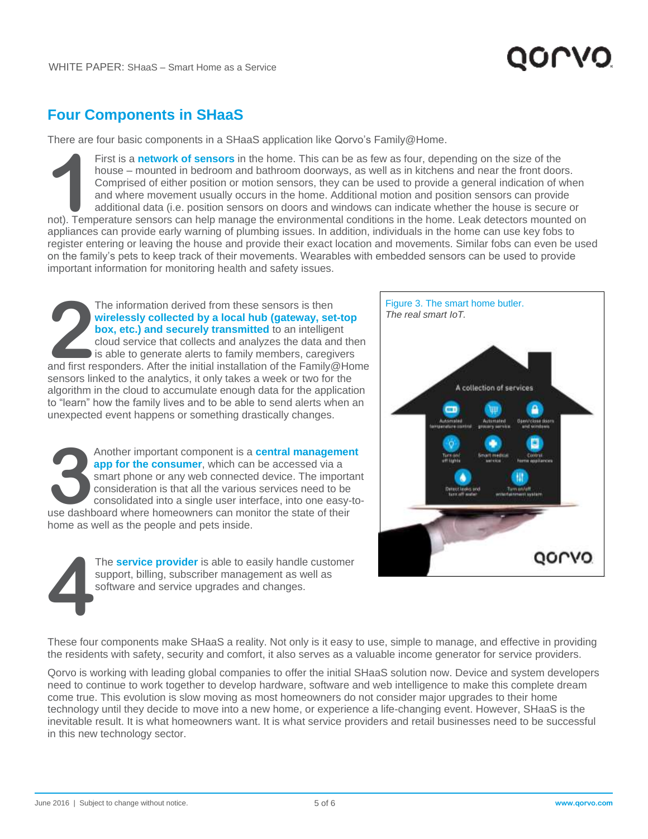### **Four Components in SHaaS**

There are four basic components in a SHaaS application like Qorvo's Family@Home.

First is a **network of sensors** in the home. This can be as few as four, depending on the size of the house – mounted in bedroom and bathroom doorways, as well as in kitchens and near the front doors. Comprised of either position or motion sensors, they can be used to provide a general indication of when and where movement usually occurs in the home. Additional motion and position sensors can provide additional data (i.e. position sensors on doors and windows can indicate whether the house is secure or First is a **network of sensors** in the home. This can be as few as four, depending on the size of the house – mounted in bedroom and bathroom doorways, as well as in kitchens and near the front doors. Comprised of either p appliances can provide early warning of plumbing issues. In addition, individuals in the home can use key fobs to register entering or leaving the house and provide their exact location and movements. Similar fobs can even be used on the family's pets to keep track of their movements. Wearables with embedded sensors can be used to provide important information for monitoring health and safety issues.

The information derived from these sensors is then **wirelessly collected by a local hub (gateway, set-top box, etc.) and securely transmitted** to an intelligent cloud service that collects and analyzes the data and then is able to generate alerts to family members, caregivers The information derived from these sensors is then<br> **Wirelessly collected by a local hub (gateway, set-top**<br> **Eigure 3. The smart IoT.**<br> **22. box, etc.) and securely transmitted** to an intelligent<br>
cloud service that colle sensors linked to the analytics, it only takes a week or two for the algorithm in the cloud to accumulate enough data for the application to "learn" how the family lives and to be able to send alerts when an unexpected event happens or something drastically changes.

Another important component is a **central management app for the consumer**, which can be accessed via a smart phone or any web connected device. The important consideration is that all the various services need to be consolidated into a single user interface, into one easy-to-Another important component is a **central management app for the consumer**, which can be accessed via a smart phone or any web connected device. The importation is that all the various services need to be consolidated into home as well as the people and pets inside.





These four components make SHaaS a reality. Not only is it easy to use, simple to manage, and effective in providing the residents with safety, security and comfort, it also serves as a valuable income generator for service providers.

Qorvo is working with leading global companies to offer the initial SHaaS solution now. Device and system developers need to continue to work together to develop hardware, software and web intelligence to make this complete dream come true. This evolution is slow moving as most homeowners do not consider major upgrades to their home technology until they decide to move into a new home, or experience a life-changing event. However, SHaaS is the inevitable result. It is what homeowners want. It is what service providers and retail businesses need to be successful in this new technology sector.